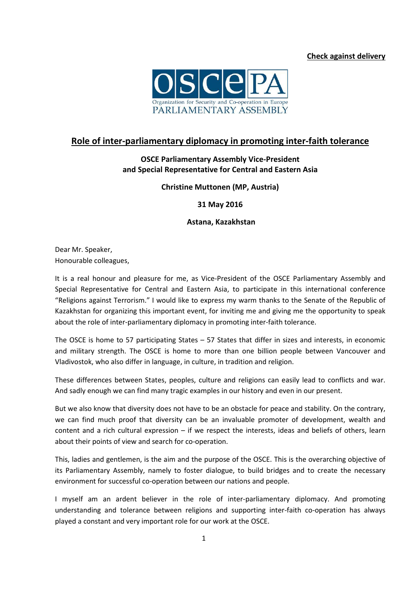

## **Role of inter-parliamentary diplomacy in promoting inter-faith tolerance**

## **OSCE Parliamentary Assembly Vice-President and Special Representative for Central and Eastern Asia**

## **Christine Muttonen (MP, Austria)**

**31 May 2016**

## **Astana, Kazakhstan**

Dear Mr. Speaker, Honourable colleagues,

It is a real honour and pleasure for me, as Vice-President of the OSCE Parliamentary Assembly and Special Representative for Central and Eastern Asia, to participate in this international conference "Religions against Terrorism." I would like to express my warm thanks to the Senate of the Republic of Kazakhstan for organizing this important event, for inviting me and giving me the opportunity to speak about the role of inter-parliamentary diplomacy in promoting inter-faith tolerance.

The OSCE is home to 57 participating States – 57 States that differ in sizes and interests, in economic and military strength. The OSCE is home to more than one billion people between Vancouver and Vladivostok, who also differ in language, in culture, in tradition and religion.

These differences between States, peoples, culture and religions can easily lead to conflicts and war. And sadly enough we can find many tragic examples in our history and even in our present.

But we also know that diversity does not have to be an obstacle for peace and stability. On the contrary, we can find much proof that diversity can be an invaluable promoter of development, wealth and content and a rich cultural expression – if we respect the interests, ideas and beliefs of others, learn about their points of view and search for co-operation.

This, ladies and gentlemen, is the aim and the purpose of the OSCE. This is the overarching objective of its Parliamentary Assembly, namely to foster dialogue, to build bridges and to create the necessary environment for successful co-operation between our nations and people.

I myself am an ardent believer in the role of inter-parliamentary diplomacy. And promoting understanding and tolerance between religions and supporting inter-faith co-operation has always played a constant and very important role for our work at the OSCE.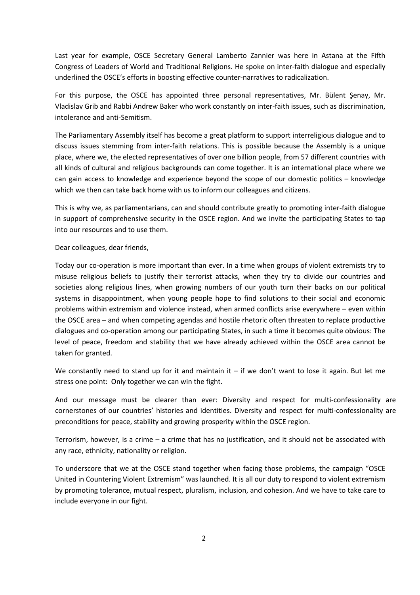Last year for example, OSCE Secretary General Lamberto Zannier was here in Astana at the Fifth Congress of Leaders of World and Traditional Religions. He spoke on inter-faith dialogue and especially underlined the OSCE's efforts in boosting effective counter-narratives to radicalization.

For this purpose, the OSCE has appointed three personal representatives, Mr. Bülent Şenay, Mr. Vladislav Grib and Rabbi Andrew Baker who work constantly on inter-faith issues, such as discrimination, intolerance and anti-Semitism.

The Parliamentary Assembly itself has become a great platform to support interreligious dialogue and to discuss issues stemming from inter-faith relations. This is possible because the Assembly is a unique place, where we, the elected representatives of over one billion people, from 57 different countries with all kinds of cultural and religious backgrounds can come together. It is an international place where we can gain access to knowledge and experience beyond the scope of our domestic politics – knowledge which we then can take back home with us to inform our colleagues and citizens.

This is why we, as parliamentarians, can and should contribute greatly to promoting inter-faith dialogue in support of comprehensive security in the OSCE region. And we invite the participating States to tap into our resources and to use them.

Dear colleagues, dear friends,

Today our co-operation is more important than ever. In a time when groups of violent extremists try to misuse religious beliefs to justify their terrorist attacks, when they try to divide our countries and societies along religious lines, when growing numbers of our youth turn their backs on our political systems in disappointment, when young people hope to find solutions to their social and economic problems within extremism and violence instead, when armed conflicts arise everywhere – even within the OSCE area – and when competing agendas and hostile rhetoric often threaten to replace productive dialogues and co-operation among our participating States, in such a time it becomes quite obvious: The level of peace, freedom and stability that we have already achieved within the OSCE area cannot be taken for granted.

We constantly need to stand up for it and maintain it  $-$  if we don't want to lose it again. But let me stress one point: Only together we can win the fight.

And our message must be clearer than ever: Diversity and respect for multi-confessionality are cornerstones of our countries' histories and identities. Diversity and respect for multi-confessionality are preconditions for peace, stability and growing prosperity within the OSCE region.

Terrorism, however, is a crime – a crime that has no justification, and it should not be associated with any race, ethnicity, nationality or religion.

To underscore that we at the OSCE stand together when facing those problems, the campaign "OSCE United in Countering Violent Extremism" was launched. It is all our duty to respond to violent extremism by promoting tolerance, mutual respect, pluralism, inclusion, and cohesion. And we have to take care to include everyone in our fight.